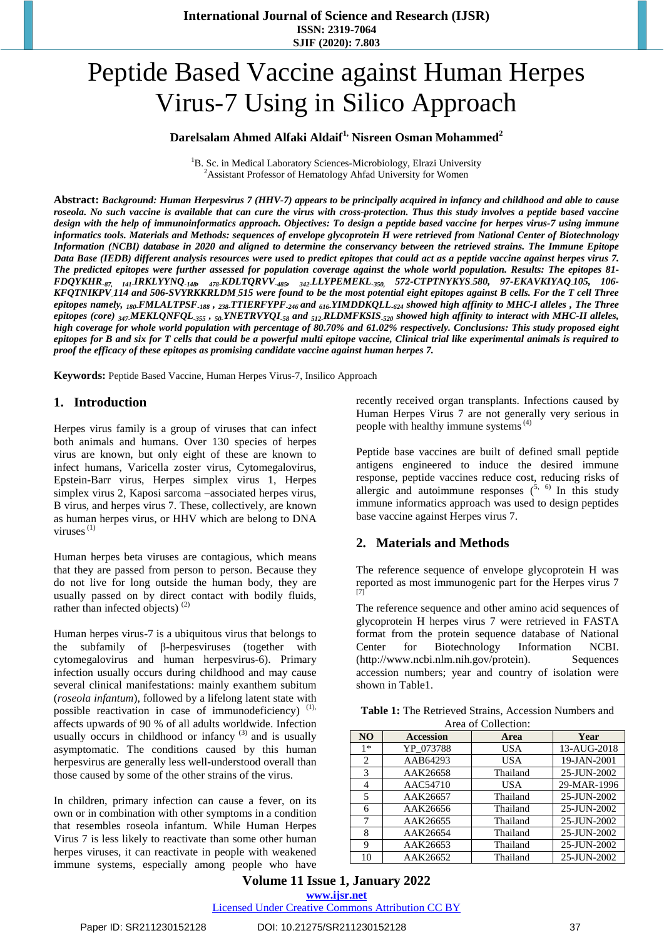# Peptide Based Vaccine against Human Herpes Virus-7 Using in Silico Approach

# **Darelsalam Ahmed Alfaki Aldaif1, Nisreen Osman Mohammed<sup>2</sup>**

 ${}^{1}$ B. Sc. in Medical Laboratory Sciences-Microbiology, Elrazi University <sup>2</sup>Assistant Professor of Hematology Ahfad University for Women

Abstract: Background: Human Herpesvirus 7 (HHV-7) appears to be principally acquired in infancy and childhood and able to cause roseola. No such vaccine is available that can cure the virus with cross-protection. Thus this study involves a peptide based vaccine design with the help of immunoinformatics approach. Objectives: To design a peptide based vaccine for herpes virus-7 using immune informatics tools. Materials and Methods: sequences of envelope glycoprotein H were retrieved from National Center of Biotechnology Information (NCBI) database in 2020 and aligned to determine the conservancy between the retrieved strains. The Immune Epitope Data Base (IEDB) different analysis resources were used to predict epitopes that could act as a peptide vaccine against herpes virus 7. The predicted epitopes were further assessed for population coverage against the whole world population. Results: The epitopes 81-FDQYKHR<sub>-87, 141</sub>JRKLYYNQ<sub>-148</sub>, <sub>478-</sub>KDLTQRVV<sub>-485</sub>, <sub>342-</sub>LLYPEMEKL<sub>-350,</sub> 572-CTPTNYKYS<sub>-</sub>580, 97-EKAVKIYAQ<sub>-</sub>105, 106-KFQTNIKPV,114 and 506-SVYRKKRLDM,515 were found to be the most potential eight epitopes against B cells. For the T cell Three epitopes namely,  $_{180}$ FMLALTPSF<sub>-188</sub>,  $_{238}$ TTIERFYPF<sub>-246</sub> and  $_{616}$ YIMDDKQLL<sub>-624</sub> showed high affinity to MHC-I alleles, The Three epitopes (core) 347.MEKLQNFQL.355, 50.YNETRVYQL.58 and 512.RLDMFKSIS.520 showed high affinity to interact with MHC-II alleles, high coverage for whole world population with percentage of 80.70% and 61.02% respectively. Conclusions: This study proposed eight epitopes for B and six for T cells that could be a powerful multi epitope vaccine, Clinical trial like experimental animals is required to *proof the efficacy of these epitopes as promising candidate vaccine against human herpes 7.*

**Keywords:** Peptide Based Vaccine, Human Herpes Virus-7, Insilico Approach

#### **1. Introduction**

Herpes virus family is a group of viruses that can infect both animals and humans. Over 130 species of herpes virus are known, but only eight of these are known to infect humans, Varicella zoster virus, Cytomegalovirus, Epstein-Barr virus, Herpes simplex virus 1, Herpes simplex virus 2, Kaposi sarcoma –associated herpes virus, B virus, and herpes virus 7. These, collectively, are known as human herpes virus, or HHV which are belong to DNA viruses $^{(1)}$ 

Human herpes beta viruses are contagious, which means that they are passed from person to person. Because they do not live for long outside the human body, they are usually passed on by direct contact with bodily fluids, rather than infected objects) $^{(2)}$ 

Human herpes virus-7 is a ubiquitous virus that belongs to subfamily of  $\beta$ -herpesviruses (together with cytomegalovirus and human herpesvirus-6). Primary infection usually occurs during childhood and may cause several clinical manifestations: mainly exanthem subitum (*roseola infantum*), followed by a lifelong latent state with possible reactivation in case of immunodeficiency)<sup>(1),</sup> affects upwards of 90 % of all adults worldwide. Infection usually occurs in childhood or infancy  $(3)$  and is usually asymptomatic. The conditions caused by this human herpesvirus are generally less well-understood overall than those caused by some of the other strains of the virus.

In children, primary infection can cause a fever, on its own or in combination with other symptoms in a condition that resembles roseola infantum. While Human Herpes Virus 7 is less likely to reactivate than some other human herpes viruses, it can reactivate in people with weakened immune systems, especially among people who have

recently received organ transplants. Infections caused by Human Herpes Virus 7 are not generally very serious in people with healthy immune systems $<sup>(4)</sup>$ </sup>

Peptide base vaccines are built of defined small peptide antigens engineered to induce the desired immune response, peptide vaccines reduce cost, reducing risks of allergic and autoimmune responses  $(5, 6)$  In this study immune informatics approach was used to design peptides base vaccine against Herpes virus 7.

## **2. Materials and Methods**

The reference sequence of envelope glycoprotein H was reported as most immunogenic part for the Herpes virus 7 [\[7\]](https://en.wikipedia.org/wiki/Human_betaherpesvirus_7#cite_note-4)

The reference sequence and other amino acid sequences of glycoprotein H herpes virus 7 were retrieved in FASTA format from the protein sequence database of National Center for Biotechnology Information NCBI. [\(http://www.ncbi.nlm.nih.gov/protein\)](http://www.ncbi.nlm.nih.gov/protein). Sequences accession numbers; year and country of isolation were shown in Table1.

| <b>Table 1:</b> The Retrieved Strains, Accession Numbers and |                     |  |  |
|--------------------------------------------------------------|---------------------|--|--|
|                                                              | Area of Collection: |  |  |

| N <sub>O</sub> | <b>Accession</b> | Area       | Year        |
|----------------|------------------|------------|-------------|
| $1*$           | YP 073788        | <b>USA</b> | 13-AUG-2018 |
| 2              | AAB64293         | <b>USA</b> | 19-JAN-2001 |
| $\mathcal{R}$  | AAK26658         | Thailand   | 25-JUN-2002 |
| 4              | AAC54710         | <b>USA</b> | 29-MAR-1996 |
| 5              | AAK26657         | Thailand   | 25-JUN-2002 |
| 6              | AAK26656         | Thailand   | 25-JUN-2002 |
| 7              | AAK26655         | Thailand   | 25-JUN-2002 |
| 8              | AAK26654         | Thailand   | 25-JUN-2002 |
| 9              | AAK26653         | Thailand   | 25-JUN-2002 |
| 10             | AAK26652         | Thailand   | 25-JUN-2002 |

**Volume 11 Issue 1, January 2022 www.ijsr.net**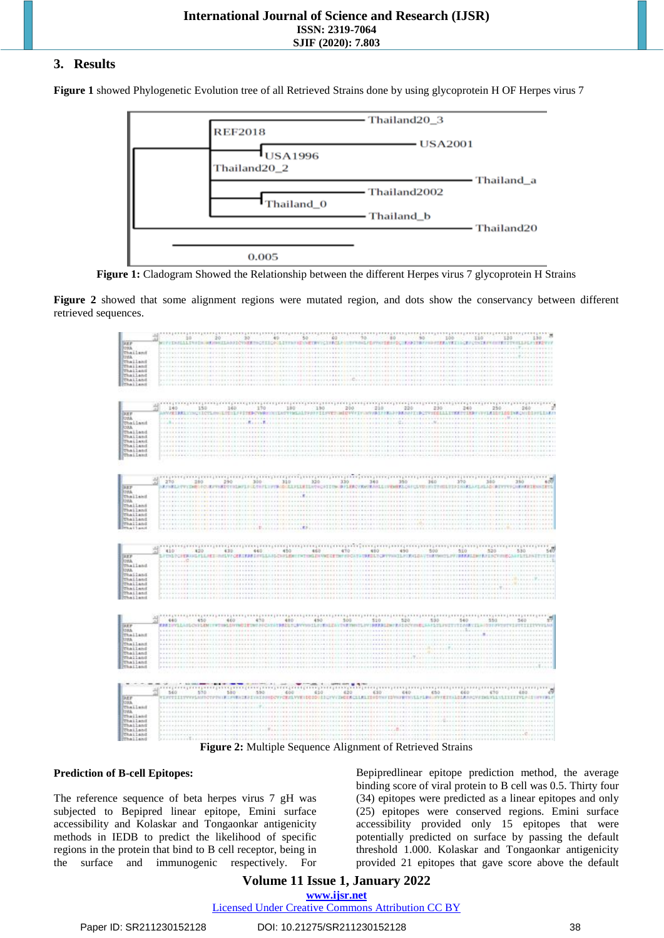# **3. Results**

**Figure 1** showed Phylogenetic Evolution tree of all Retrieved Strains done by using glycoprotein H OF Herpes virus 7



**Figure 1:** Cladogram Showed the Relationship between the different Herpes virus 7 glycoprotein H Strains

**Figure 2** showed that some alignment regions were mutated region, and dots show the conservancy between different retrieved sequences.



**Figure 2:** Multiple Sequence Alignment of Retrieved Strains

#### **Prediction of B-cell Epitopes:**

The reference sequence of beta herpes virus 7 gH was subjected to Bepipred linear epitope, Emini surface accessibility and Kolaskar and Tongaonkar antigenicity methods in IEDB to predict the likelihood of specific regions in the protein that bind to B cell receptor, being in the surface and immunogenic respectively. For

Bepipredlinear epitope prediction method, the average binding score of viral protein to B cell was 0.5. Thirty four (34) epitopes were predicted as a linear epitopes and only (25) epitopes were conserved regions. Emini surface accessibility provided only 15 epitopes that were potentially predicted on surface by passing the default threshold 1.000. Kolaskar and Tongaonkar antigenicity provided 21 epitopes that gave score above the default

# **Volume 11 Issue 1, January 2022 www.ijsr.net**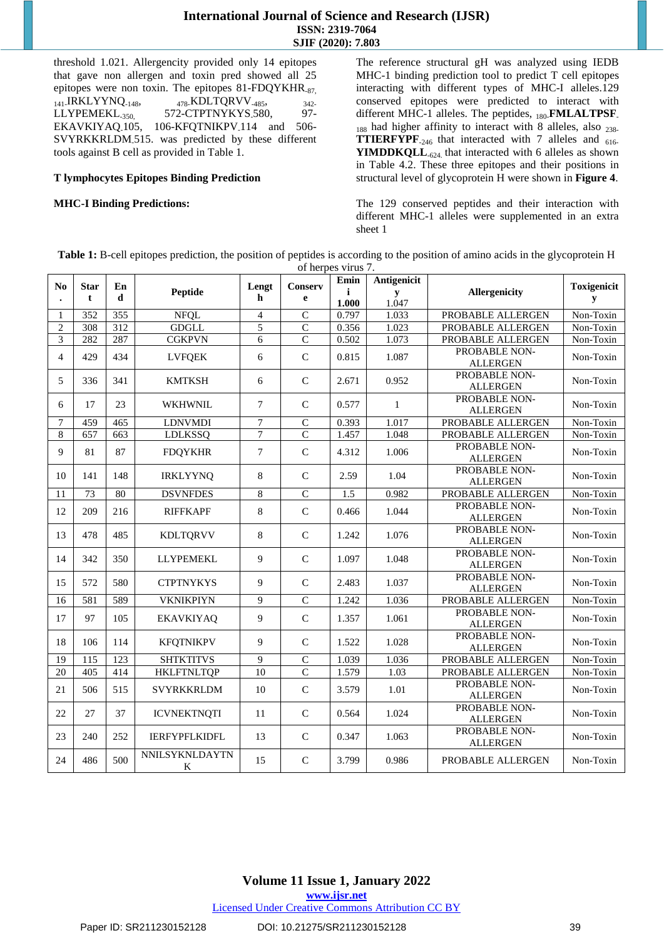threshold 1.021. Allergencity provided only 14 epitopes that gave non allergen and toxin pred showed all 25 epitopes were non toxin. The epitopes 81-FDQYKHR<sub>-87,</sub>  $_{141}$ .IRKLYYNQ<sub>-148</sub>,  $_{478}$ .KDLTQRVV<sub>-485</sub>,  $_{342}$ LLYPEMEKL<sub>-350</sub>, 572-CTPTNYKYS<sub>-580</sub>, 97-EKAVKIYAQ.105, 106-KFQTNIKPV.114 and 506-SVYRKKRLDM-515. was predicted by these different tools against B cell as provided in Table 1.

#### **T lymphocytes Epitopes Binding Prediction**

#### **MHC-I Binding Predictions:**

The reference structural gH was analyzed using IEDB MHC-1 binding prediction tool to predict T cell epitopes interacting with different types of MHC-I alleles.129 conserved epitopes were predicted to interact with different MHC-1 alleles. The peptides, 180-**FMLALTPSF**- $_{188}$  had higher affinity to interact with 8 alleles, also  $_{238-}$ **TTIERFYPF**<sub>-246</sub> that interacted with 7 alleles and 616-**YIMDDKQLL**<sub>-624</sub> that interacted with 6 alleles as shown in Table 4.2. These three epitopes and their positions in structural level of glycoprotein H were shown in **Figure 4**.

The 129 conserved peptides and their interaction with different MHC-1 alleles were supplemented in an extra sheet 1

**Table 1:** B-cell epitopes prediction, the position of peptides is according to the position of amino acids in the glycoprotein H of herpes virus 7.

| N <sub>0</sub> | <b>Star</b> | En                      |                      | Lengt                            | <b>Conserv</b> | Emin  | Antigenicit |                                  | <b>Toxigenicit</b> |
|----------------|-------------|-------------------------|----------------------|----------------------------------|----------------|-------|-------------|----------------------------------|--------------------|
|                | t           | d                       | Peptide              | h                                | e              | i     | y           | <b>Allergenicity</b>             | y                  |
|                |             |                         |                      |                                  | $\overline{C}$ | 1.000 | 1.047       |                                  |                    |
| 1              | 352         | $\overline{355}$<br>312 | <b>NFQL</b>          | $\overline{4}$<br>$\overline{5}$ | $\overline{C}$ | 0.797 | 1.033       | PROBABLE ALLERGEN                | Non-Toxin          |
| $\overline{c}$ | 308         |                         | <b>GDGLL</b>         |                                  | $\mathcal{C}$  | 0.356 | 1.023       | PROBABLE ALLERGEN                | Non-Toxin          |
| 3              | 282         | 287                     | <b>CGKPVN</b>        | 6                                |                | 0.502 | 1.073       | PROBABLE ALLERGEN                | Non-Toxin          |
| $\overline{4}$ | 429         | 434                     | <b>LVFQEK</b>        | 6                                | $\mathbf C$    | 0.815 | 1.087       | PROBABLE NON-<br><b>ALLERGEN</b> | Non-Toxin          |
| 5              | 336         | 341                     | <b>KMTKSH</b>        | 6                                | $\mathcal{C}$  | 2.671 | 0.952       | PROBABLE NON-<br><b>ALLERGEN</b> | Non-Toxin          |
| 6              | 17          | 23                      | <b>WKHWNIL</b>       | $\tau$                           | $\mathcal{C}$  | 0.577 | 1           | PROBABLE NON-<br><b>ALLERGEN</b> | Non-Toxin          |
| 7              | 459         | 465                     | <b>LDNVMDI</b>       | $\overline{7}$                   | $\mathbf C$    | 0.393 | 1.017       | PROBABLE ALLERGEN                | Non-Toxin          |
| 8              | 657         | 663                     | <b>LDLKSSQ</b>       | $\overline{7}$                   | $\overline{C}$ | 1.457 | 1.048       | PROBABLE ALLERGEN                | Non-Toxin          |
| $\mathbf Q$    | 81          | 87                      | <b>FDQYKHR</b>       | $\overline{7}$                   | $\mathbf C$    | 4.312 | 1.006       | PROBABLE NON-<br><b>ALLERGEN</b> | Non-Toxin          |
| 10             | 141         | 148                     | <b>IRKLYYNO</b>      | 8                                | $\mathcal{C}$  | 2.59  | 1.04        | PROBABLE NON-<br><b>ALLERGEN</b> | Non-Toxin          |
| 11             | 73          | 80                      | <b>DSVNFDES</b>      | 8                                | $\overline{C}$ | 1.5   | 0.982       | PROBABLE ALLERGEN                | Non-Toxin          |
| 12             | 209         | 216                     | <b>RIFFKAPF</b>      | 8                                | $\mathbf C$    | 0.466 | 1.044       | PROBABLE NON-<br><b>ALLERGEN</b> | Non-Toxin          |
| 13             | 478         | 485                     | <b>KDLTQRVV</b>      | 8                                | $\mathbf C$    | 1.242 | 1.076       | PROBABLE NON-<br><b>ALLERGEN</b> | Non-Toxin          |
| 14             | 342         | 350                     | <b>LLYPEMEKL</b>     | 9                                | $\mathbf C$    | 1.097 | 1.048       | PROBABLE NON-<br><b>ALLERGEN</b> | Non-Toxin          |
| 15             | 572         | 580                     | <b>CTPTNYKYS</b>     | 9                                | $\mathsf{C}$   | 2.483 | 1.037       | PROBABLE NON-<br><b>ALLERGEN</b> | Non-Toxin          |
| 16             | 581         | 589                     | <b>VKNIKPIYN</b>     | 9                                | $\overline{C}$ | 1.242 | 1.036       | PROBABLE ALLERGEN                | Non-Toxin          |
| 17             | 97          | 105                     | <b>EKAVKIYAQ</b>     | 9                                | $\mathbf C$    | 1.357 | 1.061       | PROBABLE NON-<br><b>ALLERGEN</b> | Non-Toxin          |
| 18             | 106         | 114                     | <b>KFQTNIKPV</b>     | 9                                | $\mathcal{C}$  | 1.522 | 1.028       | PROBABLE NON-<br><b>ALLERGEN</b> | Non-Toxin          |
| 19             | 115         | 123                     | <b>SHTKTITVS</b>     | 9                                | $\mathsf{C}$   | 1.039 | 1.036       | PROBABLE ALLERGEN                | Non-Toxin          |
| 20             | 405         | 414                     | <b>HKLFTNLTQP</b>    | 10                               | $\overline{C}$ | 1.579 | 1.03        | PROBABLE ALLERGEN                | Non-Toxin          |
| 21             | 506         | 515                     | SVYRKKRLDM           | 10                               | $\mathsf{C}$   | 3.579 | 1.01        | PROBABLE NON-<br><b>ALLERGEN</b> | Non-Toxin          |
| 22             | 27          | 37                      | <b>ICVNEKTNQTI</b>   | 11                               | $\mathbf C$    | 0.564 | 1.024       | PROBABLE NON-<br><b>ALLERGEN</b> | Non-Toxin          |
| 23             | 240         | 252                     | <b>IERFYPFLKIDFL</b> | 13                               | $\mathbf C$    | 0.347 | 1.063       | PROBABLE NON-<br><b>ALLERGEN</b> | Non-Toxin          |
| 24             | 486         | 500                     | NNILSYKNLDAYTN<br>K  | 15                               | $\mathbf C$    | 3.799 | 0.986       | PROBABLE ALLERGEN                | Non-Toxin          |

# **Volume 11 Issue 1, January 2022**

**www.ijsr.net**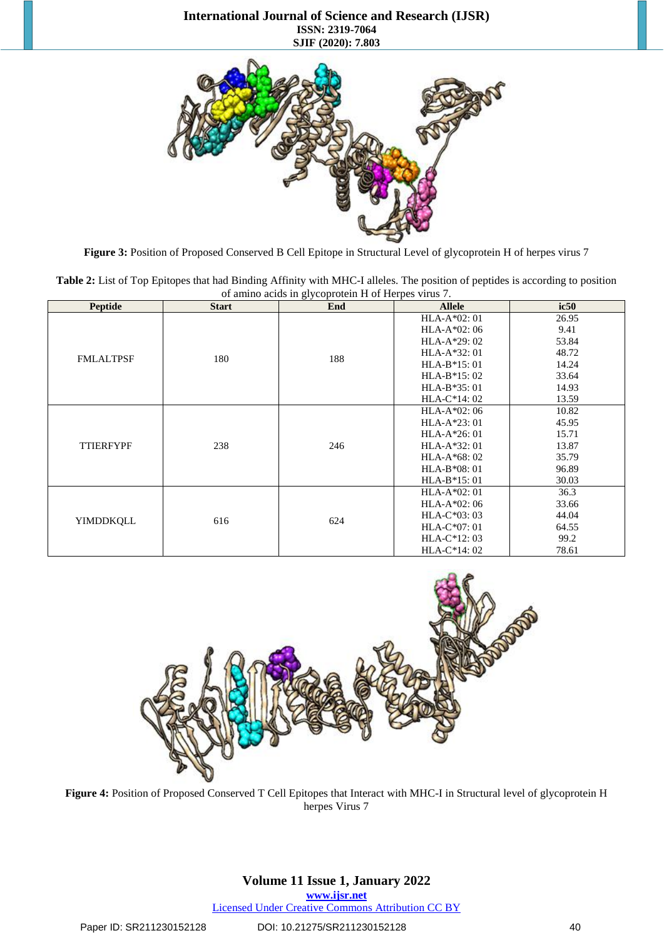### **International Journal of Science and Research (IJSR) ISSN: 2319-7064 SJIF (2020): 7.803**



**Figure 3:** Position of Proposed Conserved B Cell Epitope in Structural Level of glycoprotein H of herpes virus 7

**Table 2:** List of Top Epitopes that had Binding Affinity with MHC-I alleles. The position of peptides is according to position of amino acids in glycoprotein H of Herpes virus 7.

| <b>Peptide</b>   | <b>Start</b> | End | <b>Allele</b> | ic50  |
|------------------|--------------|-----|---------------|-------|
|                  |              |     | HLA-A*02: 01  | 26.95 |
|                  |              |     | $HLA-A*02:06$ | 9.41  |
|                  |              |     | $HLA-A*29:02$ | 53.84 |
| <b>FMLALTPSF</b> | 180          |     | $HLA-A*32:01$ | 48.72 |
|                  |              | 188 | $HLA-B*15:01$ | 14.24 |
|                  |              |     | $HLA-B*15:02$ | 33.64 |
|                  |              |     | $HLA-B*35:01$ | 14.93 |
|                  |              |     | $HLA-C*14:02$ | 13.59 |
|                  | 238          | 246 | $HLA-A*02:06$ | 10.82 |
|                  |              |     | $HLA-A*23:01$ | 45.95 |
|                  |              |     | $HLA-A*26:01$ | 15.71 |
| <b>TTIERFYPF</b> |              |     | $HLA-A*32:01$ | 13.87 |
|                  |              |     | $HLA-A*68:02$ | 35.79 |
|                  |              |     | $HLA-B*08:01$ | 96.89 |
|                  |              |     | $HLA-B*15:01$ | 30.03 |
|                  |              |     | $HLA-A*02:01$ | 36.3  |
|                  |              |     | $HLA-A*02:06$ | 33.66 |
| <b>YIMDDKQLL</b> | 616          | 624 | $HLA-C*03:03$ | 44.04 |
|                  |              |     | $HLA-C*07:01$ | 64.55 |
|                  |              |     | $HLA-C*12:03$ | 99.2  |
|                  |              |     | $HLA-C*14:02$ | 78.61 |



**Figure 4:** Position of Proposed Conserved T Cell Epitopes that Interact with MHC-I in Structural level of glycoprotein H herpes Virus 7

# **Volume 11 Issue 1, January 2022**

**www.ijsr.net**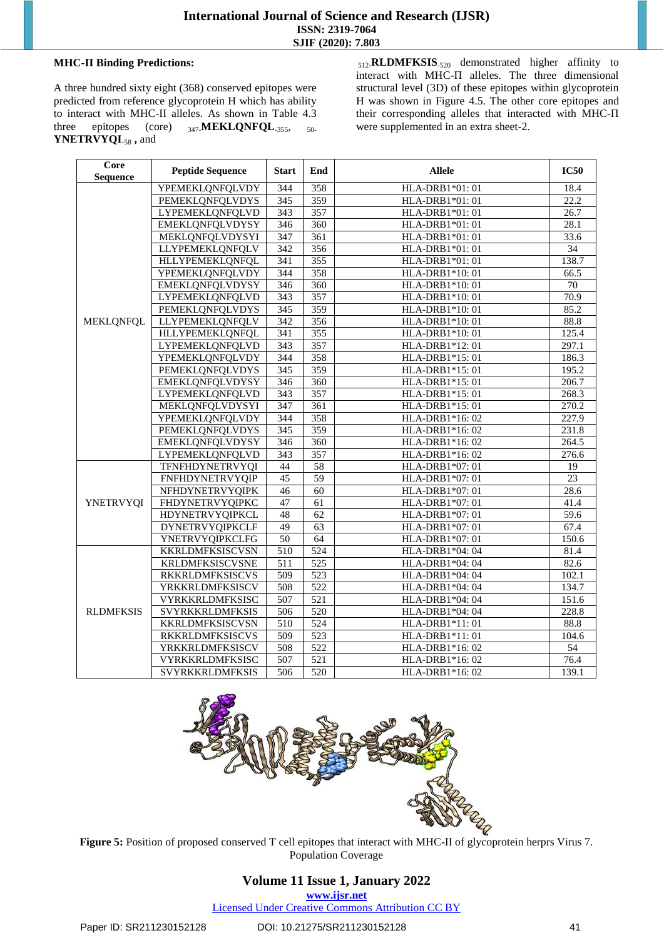### **MHC-П Binding Predictions:**

A three hundred sixty eight (368) conserved epitopes were predicted from reference glycoprotein H which has ability to interact with MHC-II alleles. As shown in Table 4.3 three epitopes (core) 347-**MEKLQNFQL**-355, 50- **YNETRVYQI**-58 **,** and

512-**RLDMFKSIS**-520 demonstrated higher affinity to interact with MHC-П alleles. The three dimensional structural level (3D) of these epitopes within glycoprotein H was shown in Figure 4.5. The other core epitopes and their corresponding alleles that interacted with MHC-П were supplemented in an extra sheet-2.

| Core<br><b>Sequence</b> | <b>Peptide Sequence</b> | <b>Start</b>     | End                                 | <b>Allele</b>   | <b>IC50</b>       |
|-------------------------|-------------------------|------------------|-------------------------------------|-----------------|-------------------|
|                         | YPEMEKLQNFQLVDY         | 344              | 358                                 | HLA-DRB1*01: 01 | 18.4              |
|                         | <b>PEMEKLQNFQLVDYS</b>  | 345              | 359                                 | HLA-DRB1*01: 01 | $22.\overline{2}$ |
|                         | LYPEMEKLQNFQLVD         | 343              | 357                                 | HLA-DRB1*01: 01 | 26.7              |
|                         | EMEKLQNFQLVDYSY         | 346              | 360                                 | HLA-DRB1*01: 01 | 28.1              |
|                         | MEKLQNFQLVDYSYI         | 347              | 361                                 | HLA-DRB1*01: 01 | 33.6              |
|                         | LLYPEMEKLQNFQLV         | 342              | 356                                 | HLA-DRB1*01: 01 | 34                |
|                         | <b>HLLYPEMEKLQNFQL</b>  | 341              | 355                                 | HLA-DRB1*01: 01 | 138.7             |
|                         | YPEMEKLQNFQLVDY         | 344              | 358<br>HLA-DRB1*10: 01              |                 | 66.5              |
|                         | EMEKLQNFQLVDYSY         | 346              | $\overline{360}$<br>HLA-DRB1*10: 01 |                 | 70                |
|                         | <b>LYPEMEKLQNFQLVD</b>  | 343              | 357                                 | HLA-DRB1*10: 01 | 70.9              |
|                         | <b>PEMEKLQNFQLVDYS</b>  | 345              | 359                                 | HLA-DRB1*10: 01 | 85.2              |
| <b>MEKLQNFQL</b>        | LLYPEMEKLQNFQLV         | 342              | 356                                 | HLA-DRB1*10: 01 | 88.8              |
|                         | HLLYPEMEKLQNFQL         | 341              | 355                                 | HLA-DRB1*10: 01 | 125.4             |
|                         | LYPEMEKLONFOLVD         | 343              | 357                                 | HLA-DRB1*12:01  | 297.1             |
|                         | YPEMEKLQNFQLVDY         | 344              | 358                                 | HLA-DRB1*15:01  | 186.3             |
|                         | PEMEKLQNFQLVDYS         | 345              | 359                                 | HLA-DRB1*15:01  | 195.2             |
|                         | EMEKLQNFQLVDYSY         | 346              | 360                                 | HLA-DRB1*15:01  | 206.7             |
|                         | LYPEMEKLQNFQLVD         | 343              | 357                                 | HLA-DRB1*15:01  | 268.3             |
|                         | MEKLQNFQLVDYSYI         | 347              | 361                                 | HLA-DRB1*15:01  | 270.2             |
|                         | <b>YPEMEKLQNFQLVDY</b>  | 344              | 358                                 | HLA-DRB1*16:02  | 227.9             |
|                         | <b>PEMEKLQNFQLVDYS</b>  | 345              | 359                                 | HLA-DRB1*16:02  | 231.8             |
|                         | EMEKLQNFQLVDYSY         | 346              | 360                                 | HLA-DRB1*16:02  | 264.5             |
|                         | LYPEMEKLQNFQLVD         | $\overline{343}$ | 357                                 | HLA-DRB1*16:02  | 276.6             |
|                         | TFNFHDYNETRVYQI         | 44               | 58                                  | HLA-DRB1*07: 01 | 19                |
|                         | FNFHDYNETRVYQIP         | 45               | 59                                  | HLA-DRB1*07: 01 | 23                |
|                         | NFHDYNETRVYQIPK         | 46               | 60                                  | HLA-DRB1*07: 01 | 28.6              |
| <b>YNETRVYQI</b>        | <b>FHDYNETRVYQIPKC</b>  | 47               | 61                                  | HLA-DRB1*07: 01 | 41.4              |
|                         | HDYNETRVYQIPKCL         | 48               | 62                                  | HLA-DRB1*07: 01 | 59.6              |
|                         | <b>DYNETRVYQIPKCLF</b>  | 49               | $\overline{63}$                     | HLA-DRB1*07: 01 | 67.4              |
|                         | <b>YNETRVYQIPKCLFG</b>  | 50               | 64                                  | HLA-DRB1*07: 01 | 150.6             |
|                         | KKRLDMFKSISCVSN         | 510              | 524                                 | HLA-DRB1*04: 04 | 81.4              |
|                         | KRLDMFKSISCVSNE         | 511              | 525                                 | HLA-DRB1*04: 04 | 82.6              |
|                         | <b>RKKRLDMFKSISCVS</b>  | 509              | 523                                 | HLA-DRB1*04: 04 | 102.1             |
|                         | YRKKRLDMFKSISCV         | 508              | 522                                 | HLA-DRB1*04: 04 | 134.7             |
|                         | VYRKKRLDMFKSISC         | 507              | $\overline{521}$                    | HLA-DRB1*04: 04 | 151.6             |
| <b>RLDMFKSIS</b>        | <b>SVYRKKRLDMFKSIS</b>  | 506              | 520                                 | HLA-DRB1*04: 04 | 228.8             |
|                         | KKRLDMFKSISCVSN         | 510              | 524                                 | HLA-DRB1*11:01  | 88.8              |
|                         | <b>RKKRLDMFKSISCVS</b>  | 509              | 523                                 | HLA-DRB1*11:01  | 104.6             |
|                         | YRKKRLDMFKSISCV         | 508              | 522                                 | HLA-DRB1*16:02  | 54                |
|                         | VYRKKRLDMFKSISC         | 507              | 521                                 | HLA-DRB1*16:02  | 76.4              |
|                         | SVYRKKRLDMFKSIS         | 506              | 520                                 | HLA-DRB1*16:02  | 139.1             |



**Figure 5:** Position of proposed conserved T cell epitopes that interact with MHC-II of glycoprotein herprs Virus 7. Population Coverage

## **Volume 11 Issue 1, January 2022 www.ijsr.net**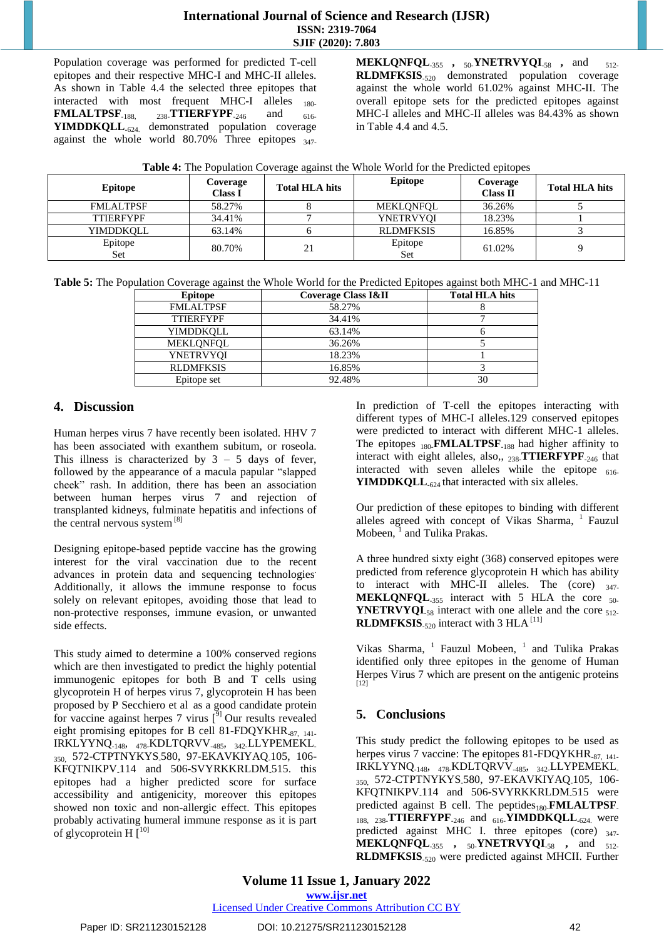# **International Journal of Science and Research (IJSR) ISSN: 2319-7064 SJIF (2020): 7.803**

Population coverage was performed for predicted T-cell epitopes and their respective MHC-I and MHC-II alleles. As shown in Table 4.4 the selected three epitopes that interacted with most frequent MHC-I alleles 180-**FMLALTPSF**<sub>-188, 238-**TTIERFYPF**<sub>-246</sub> and  $_{616}$ -</sub> **YIMDDKQLL**-624. demonstrated population coverage against the whole world  $80.70\%$  Three epitopes  $_{347}$ 

**MEKLQNFQL**-355 **,** 50-**YNETRVYQI**-58 **,** and 512- **RLDMFKSIS**-520 demonstrated population coverage against the whole world 61.02% against MHC-II. The overall epitope sets for the predicted epitopes against MHC-I alleles and MHC-II alleles was 84.43% as shown in Table 4.4 and 4.5.

| Table 4: The Population Coverage against the Whole World for the Predicted epitopes |  |  |
|-------------------------------------------------------------------------------------|--|--|
|                                                                                     |  |  |

| <b>Epitope</b>   | Coverage<br>Class I | <b>Total HLA hits</b> | <b>Epitope</b>   | Coverage<br><b>Class II</b> | <b>Total HLA hits</b> |
|------------------|---------------------|-----------------------|------------------|-----------------------------|-----------------------|
| <b>FMLALTPSF</b> | 58.27%              |                       | MEKLONFOL        | 36.26%                      |                       |
| <b>TTIERFYPF</b> | 34.41%              |                       | YNETRVYOI        | 18.23%                      |                       |
| YIMDDKOLL        | 63.14%              |                       | <b>RLDMFKSIS</b> | 16.85%                      |                       |
| Epitope<br>Set   | 80.70%              | 21                    | Epitope<br>Set   | 61.02%                      |                       |

**Table 5:** The Population Coverage against the Whole World for the Predicted Epitopes against both MHC-1 and MHC-11

| <b>Epitope</b>   | Coverage Class I&II | <b>Total HLA hits</b> |
|------------------|---------------------|-----------------------|
| <b>FMLALTPSF</b> | 58.27%              |                       |
| <b>TTIERFYPF</b> | 34.41%              |                       |
| YIMDDKOLL        | 63.14%              |                       |
| MEKLONFOL        | 36.26%              |                       |
| YNETRVYOI        | 18.23%              |                       |
| <b>RLDMFKSIS</b> | 16.85%              |                       |
| Epitope set      | 92.48%              | 30                    |

# **4. Discussion**

Human herpes virus 7 have recently been isolated. HHV 7 has been associated with exanthem subitum, or roseola. This illness is characterized by  $3 - 5$  days of fever, followed by the appearance of a macula papular "slapped cheek" rash. In addition, there has been an association between human herpes virus 7 and rejection of transplanted kidneys, fulminate hepatitis and infections of the central nervous system<sup>[8]</sup>

Designing epitope-based peptide vaccine has the growing interest for the viral vaccination due to the recent advances in protein data and sequencing technologies. Additionally, it allows the immune response to focus solely on relevant epitopes, avoiding those that lead to non-protective responses, immune evasion, or unwanted side effects.

This study aimed to determine a 100% conserved regions which are then investigated to predict the highly potential immunogenic epitopes for both B and T cells using glycoprotein H of herpes virus 7, glycoprotein H has been proposed by P [Secchiero](https://pubmed.ncbi.nlm.nih.gov/?term=Secchiero+P&cauthor_id=9268767) et al [a](https://pubmed.ncbi.nlm.nih.gov/9268767/#affiliation-1)s a good candidate protein for vaccine against herpes 7 virus  $\left[\begin{smallmatrix} 5 \end{smallmatrix}\right]$  Our results revealed eight promising epitopes for B cell 81-FDQYKHR<sub>-87</sub>,  $_{141}$ IRKLYYNQ-148, 478-KDLTQRVV-485, 342-LLYPEMEKL-350, 572-CTPTNYKYS-580, 97-EKAVKIYAQ-105, 106- KFQTNIKPV<sub>-114</sub> and 506-SVYRKKRLDM<sub>-515</sub>. this epitopes had a higher predicted score for surface accessibility and antigenicity, moreover this epitopes showed non toxic and non-allergic effect. This epitopes probably activating humeral immune response as it is part of glycoprotein H $\overline{[}^{10]}$ 

In prediction of T-cell the epitopes interacting with different types of MHC-I alleles.129 conserved epitopes were predicted to interact with different MHC-1 alleles. The epitopes <sub>180</sub>**FMLALTPSF**<sub>-188</sub> had higher affinity to interact with eight alleles, also,, 238-**TTIERFYPF**-246 that interacted with seven alleles while the epitope  $616-$ **YIMDDKQLL**<sub>-624</sub> that interacted with six alleles.

Our prediction of these epitopes to binding with different alleles agreed with concept of Vikas Sharma, <sup>1</sup> Fauzul Mobeen, <sup>1</sup> and Tulika Prakas.

A three hundred sixty eight (368) conserved epitopes were predicted from reference glycoprotein H which has ability to interact with MHC-II alleles. The  $(core)$   $_{347}$ **MEKLQNFQL**<sub>-355</sub> interact with 5 HLA the core  $_{50}$ -**YNETRVYQI**<sub>-58</sub> interact with one allele and the core  $_{512}$ -**RLDMFKSIS**<sub>-520</sub> interact with 3 HLA<sup>[11]</sup>

Vikas Sharma, 1 Fauzul Mobeen, 1 and Tulika Prakas identified only three epitopes in the genome of Human Herpes Virus 7 which are present on the antigenic proteins [12]

# **5. Conclusions**

This study predict the following epitopes to be used as herpes virus 7 vaccine: The epitopes 81-FDQYKHR<sub>-87, 141</sub> IRKLYYNQ-148, 478-KDLTQRVV-485, 342-LLYPEMEKL-350, 572-CTPTNYKYS-580, 97-EKAVKIYAQ-105, 106- KFQTNIKPV<sub>-114</sub> and 506-SVYRKKRLDM<sub>-515</sub> were predicted against B cell. The peptides<sub>180-</sub>**FMLALTPSF**. 188, 238-**TTIERFYPF**-246 and 616-**YIMDDKQLL**-624. were predicted against MHC I. three epitopes (core) 347-**MEKLQNFQL**-355 **,** 50-**YNETRVYQI**-58 **,** and 512- **RLDMFKSIS**-520 were predicted against MHCII. Further

**Volume 11 Issue 1, January 2022 www.ijsr.net**